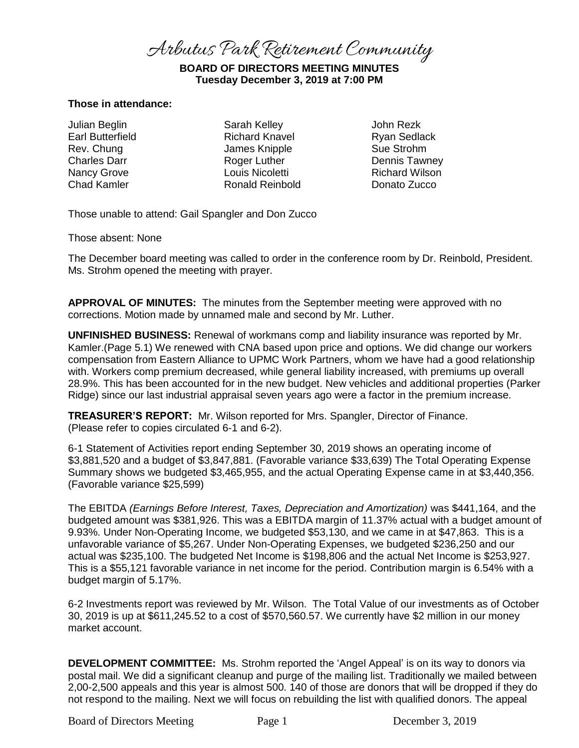Arbutus Park Retirement Community

# **BOARD OF DIRECTORS MEETING MINUTES Tuesday December 3, 2019 at 7:00 PM**

### **Those in attendance:**

Julian Beglin Earl Butterfield Rev. Chung Charles Darr Nancy Grove Chad Kamler

Sarah Kelley Richard Knavel James Knipple Roger Luther Louis Nicoletti Ronald Reinbold

John Rezk Ryan Sedlack Sue Strohm Dennis Tawney Richard Wilson Donato Zucco

Those unable to attend: Gail Spangler and Don Zucco

Those absent: None

The December board meeting was called to order in the conference room by Dr. Reinbold, President. Ms. Strohm opened the meeting with prayer.

**APPROVAL OF MINUTES:** The minutes from the September meeting were approved with no corrections. Motion made by unnamed male and second by Mr. Luther.

**UNFINISHED BUSINESS:** Renewal of workmans comp and liability insurance was reported by Mr. Kamler.(Page 5.1) We renewed with CNA based upon price and options. We did change our workers compensation from Eastern Alliance to UPMC Work Partners, whom we have had a good relationship with. Workers comp premium decreased, while general liability increased, with premiums up overall 28.9%. This has been accounted for in the new budget. New vehicles and additional properties (Parker Ridge) since our last industrial appraisal seven years ago were a factor in the premium increase.

**TREASURER'S REPORT:** Mr. Wilson reported for Mrs. Spangler, Director of Finance. (Please refer to copies circulated 6-1 and 6-2).

6-1 Statement of Activities report ending September 30, 2019 shows an operating income of \$3,881,520 and a budget of \$3,847,881. (Favorable variance \$33,639) The Total Operating Expense Summary shows we budgeted \$3,465,955, and the actual Operating Expense came in at \$3,440,356. (Favorable variance \$25,599)

The EBITDA *(Earnings Before Interest, Taxes, Depreciation and Amortization)* was \$441,164, and the budgeted amount was \$381,926. This was a EBITDA margin of 11.37% actual with a budget amount of 9.93%. Under Non-Operating Income, we budgeted \$53,130, and we came in at \$47,863. This is a unfavorable variance of \$5,267. Under Non-Operating Expenses, we budgeted \$236,250 and our actual was \$235,100. The budgeted Net Income is \$198,806 and the actual Net Income is \$253,927. This is a \$55,121 favorable variance in net income for the period. Contribution margin is 6.54% with a budget margin of 5.17%.

6-2 Investments report was reviewed by Mr. Wilson. The Total Value of our investments as of October 30, 2019 is up at \$611,245.52 to a cost of \$570,560.57. We currently have \$2 million in our money market account.

**DEVELOPMENT COMMITTEE:** Ms. Strohm reported the 'Angel Appeal' is on its way to donors via postal mail. We did a significant cleanup and purge of the mailing list. Traditionally we mailed between 2,00-2,500 appeals and this year is almost 500. 140 of those are donors that will be dropped if they do not respond to the mailing. Next we will focus on rebuilding the list with qualified donors. The appeal